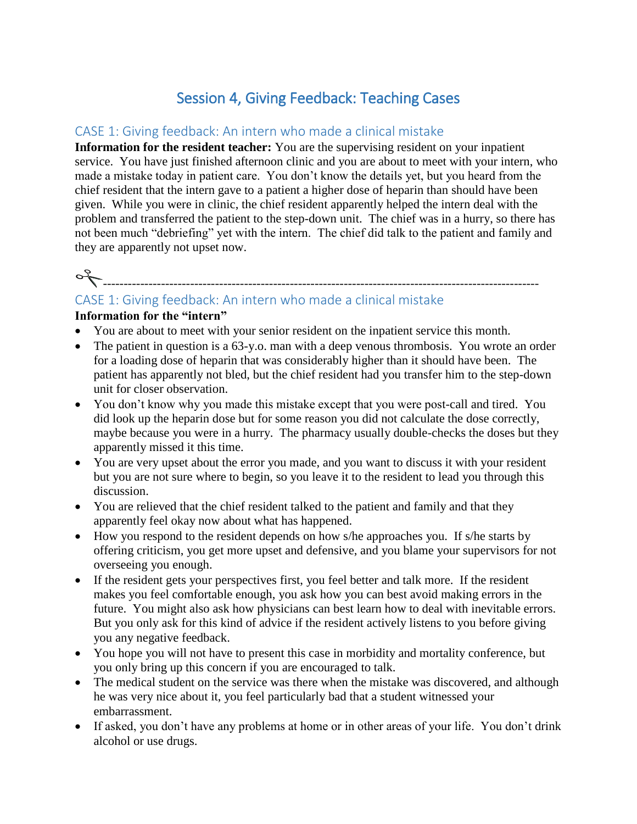# Session 4, Giving Feedback: Teaching Cases

### CASE 1: Giving feedback: An intern who made a clinical mistake

**Information for the resident teacher:** You are the supervising resident on your inpatient service. You have just finished afternoon clinic and you are about to meet with your intern, who made a mistake today in patient care. You don't know the details yet, but you heard from the chief resident that the intern gave to a patient a higher dose of heparin than should have been given. While you were in clinic, the chief resident apparently helped the intern deal with the problem and transferred the patient to the step-down unit. The chief was in a hurry, so there has not been much "debriefing" yet with the intern. The chief did talk to the patient and family and they are apparently not upset now.

# ---------------------------------------------------------------------------------------------------------

## CASE 1: Giving feedback: An intern who made a clinical mistake

### **Information for the "intern"**

- You are about to meet with your senior resident on the inpatient service this month.
- The patient in question is a 63-y.o. man with a deep venous thrombosis. You wrote an order for a loading dose of heparin that was considerably higher than it should have been. The patient has apparently not bled, but the chief resident had you transfer him to the step-down unit for closer observation.
- You don't know why you made this mistake except that you were post-call and tired. You did look up the heparin dose but for some reason you did not calculate the dose correctly, maybe because you were in a hurry. The pharmacy usually double-checks the doses but they apparently missed it this time.
- You are very upset about the error you made, and you want to discuss it with your resident but you are not sure where to begin, so you leave it to the resident to lead you through this discussion.
- You are relieved that the chief resident talked to the patient and family and that they apparently feel okay now about what has happened.
- How you respond to the resident depends on how s/he approaches you. If s/he starts by offering criticism, you get more upset and defensive, and you blame your supervisors for not overseeing you enough.
- If the resident gets your perspectives first, you feel better and talk more. If the resident makes you feel comfortable enough, you ask how you can best avoid making errors in the future. You might also ask how physicians can best learn how to deal with inevitable errors. But you only ask for this kind of advice if the resident actively listens to you before giving you any negative feedback.
- You hope you will not have to present this case in morbidity and mortality conference, but you only bring up this concern if you are encouraged to talk.
- The medical student on the service was there when the mistake was discovered, and although he was very nice about it, you feel particularly bad that a student witnessed your embarrassment.
- If asked, you don't have any problems at home or in other areas of your life. You don't drink alcohol or use drugs.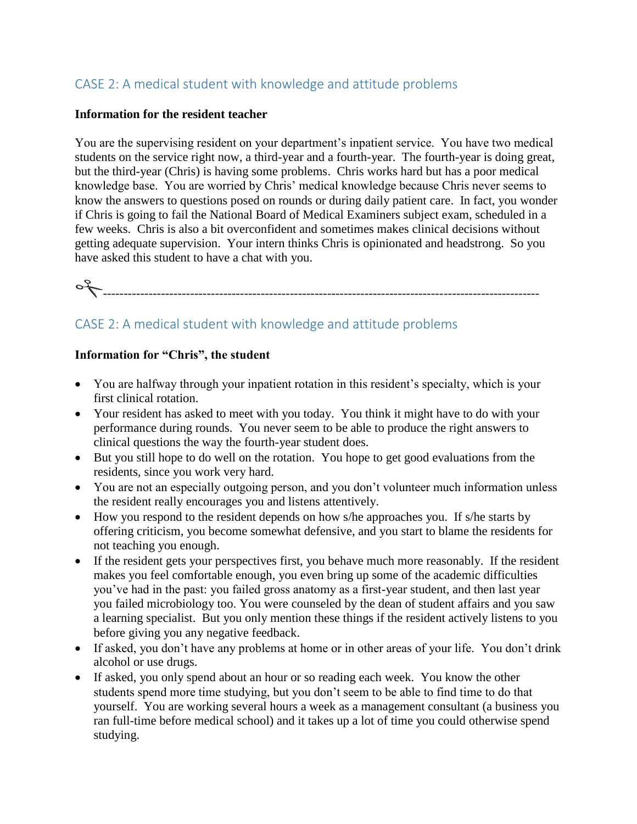### CASE 2: A medical student with knowledge and attitude problems

### **Information for the resident teacher**

You are the supervising resident on your department's inpatient service. You have two medical students on the service right now, a third-year and a fourth-year. The fourth-year is doing great, but the third-year (Chris) is having some problems. Chris works hard but has a poor medical knowledge base. You are worried by Chris' medical knowledge because Chris never seems to know the answers to questions posed on rounds or during daily patient care. In fact, you wonder if Chris is going to fail the National Board of Medical Examiners subject exam, scheduled in a few weeks. Chris is also a bit overconfident and sometimes makes clinical decisions without getting adequate supervision. Your intern thinks Chris is opinionated and headstrong. So you have asked this student to have a chat with you.

---------------------------------------------------------------------------------------------------------

### CASE 2: A medical student with knowledge and attitude problems

#### **Information for "Chris", the student**

- You are halfway through your inpatient rotation in this resident's specialty, which is your first clinical rotation.
- Your resident has asked to meet with you today. You think it might have to do with your performance during rounds. You never seem to be able to produce the right answers to clinical questions the way the fourth-year student does.
- But you still hope to do well on the rotation. You hope to get good evaluations from the residents, since you work very hard.
- You are not an especially outgoing person, and you don't volunteer much information unless the resident really encourages you and listens attentively.
- How you respond to the resident depends on how s/he approaches you. If s/he starts by offering criticism, you become somewhat defensive, and you start to blame the residents for not teaching you enough.
- If the resident gets your perspectives first, you behave much more reasonably. If the resident makes you feel comfortable enough, you even bring up some of the academic difficulties you've had in the past: you failed gross anatomy as a first-year student, and then last year you failed microbiology too. You were counseled by the dean of student affairs and you saw a learning specialist. But you only mention these things if the resident actively listens to you before giving you any negative feedback.
- If asked, you don't have any problems at home or in other areas of your life. You don't drink alcohol or use drugs.
- If asked, you only spend about an hour or so reading each week. You know the other students spend more time studying, but you don't seem to be able to find time to do that yourself. You are working several hours a week as a management consultant (a business you ran full-time before medical school) and it takes up a lot of time you could otherwise spend studying.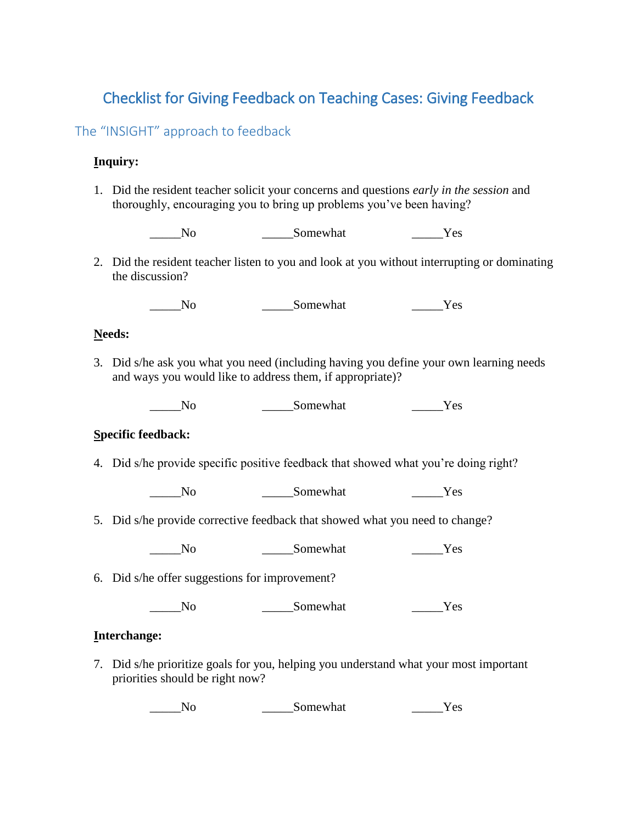# Checklist for Giving Feedback on Teaching Cases: Giving Feedback

### The "INSIGHT" approach to feedback

### **Inquiry:**

- 1. Did the resident teacher solicit your concerns and questions *early in the session* and thoroughly, encouraging you to bring up problems you've been having?
	- \_\_\_\_\_No \_\_\_\_\_Somewhat \_\_\_\_\_Yes
- 2. Did the resident teacher listen to you and look at you without interrupting or dominating the discussion?

\_\_\_\_\_No \_\_\_\_\_Somewhat \_\_\_\_\_Yes

### **Needs:**

3. Did s/he ask you what you need (including having you define your own learning needs and ways you would like to address them, if appropriate)?

\_\_\_\_\_No \_\_\_\_\_Somewhat \_\_\_\_\_Yes

#### **Specific feedback:**

4. Did s/he provide specific positive feedback that showed what you're doing right?

\_\_\_\_\_No \_\_\_\_\_Somewhat \_\_\_\_\_Yes

5. Did s/he provide corrective feedback that showed what you need to change?

\_\_\_\_\_No \_\_\_\_\_Somewhat \_\_\_\_\_Yes

6. Did s/he offer suggestions for improvement?

No Somewhat Test

#### **Interchange:**

7. Did s/he prioritize goals for you, helping you understand what your most important priorities should be right now?

\_\_\_\_\_No \_\_\_\_\_Somewhat \_\_\_\_\_Yes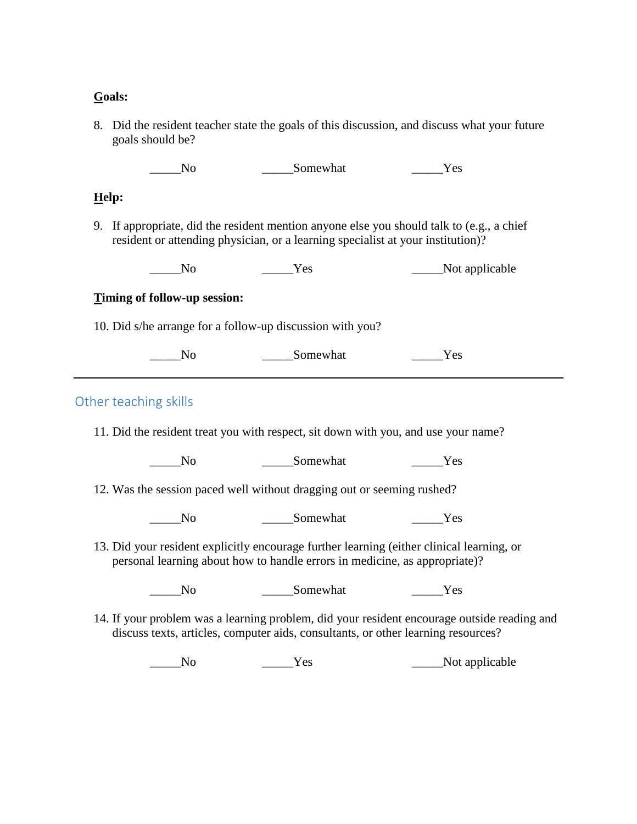### **Goals:**

- 8. Did the resident teacher state the goals of this discussion, and discuss what your future goals should be?
- \_\_\_\_\_No \_\_\_\_\_Somewhat \_\_\_\_\_Yes **Help:** 9. If appropriate, did the resident mention anyone else you should talk to (e.g., a chief resident or attending physician, or a learning specialist at your institution)? No Communication Communication Communication Not applicable **Timing of follow-up session:** 10. Did s/he arrange for a follow-up discussion with you? \_\_\_\_\_No \_\_\_\_\_Somewhat \_\_\_\_\_Yes Other teaching skills 11. Did the resident treat you with respect, sit down with you, and use your name? \_\_\_\_\_No \_\_\_\_\_Somewhat \_\_\_\_\_Yes 12. Was the session paced well without dragging out or seeming rushed? \_\_\_\_\_No \_\_\_\_\_Somewhat \_\_\_\_\_Yes 13. Did your resident explicitly encourage further learning (either clinical learning, or personal learning about how to handle errors in medicine, as appropriate)? No Somewhat Yes 14. If your problem was a learning problem, did your resident encourage outside reading and discuss texts, articles, computer aids, consultants, or other learning resources? No Not applicable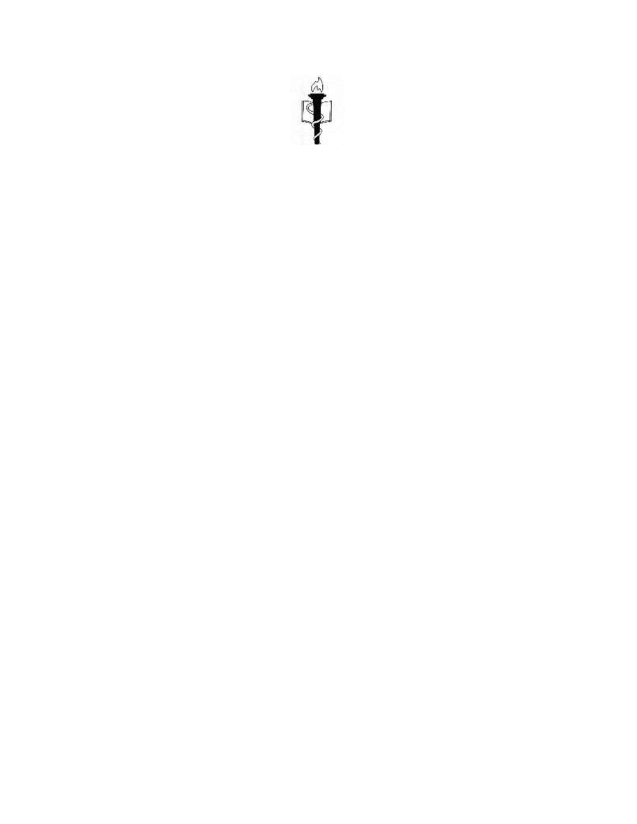